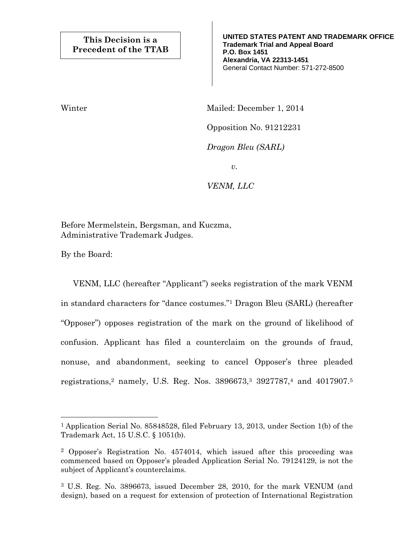**UNITED STATES PATENT AND TRADEMARK OFFICE Trademark Trial and Appeal Board P.O. Box 1451 Alexandria, VA 22313-1451**  General Contact Number: 571-272-8500

Winter Mailed: December 1, 2014

Opposition No. 91212231

*Dragon Bleu (SARL)* 

*v.* 

*VENM, LLC* 

Before Mermelstein, Bergsman, and Kuczma, Administrative Trademark Judges.

By the Board:

—<br>—

 VENM, LLC (hereafter "Applicant") seeks registration of the mark VENM in standard characters for "dance costumes."1 Dragon Bleu (SARL) (hereafter "Opposer") opposes registration of the mark on the ground of likelihood of confusion. Applicant has filed a counterclaim on the grounds of fraud, nonuse, and abandonment, seeking to cancel Opposer's three pleaded registrations,2 namely, U.S. Reg. Nos. 3896673,3 3927787,4 and 4017907.5

<sup>1</sup> Application Serial No. 85848528, filed February 13, 2013, under Section 1(b) of the Trademark Act, 15 U.S.C. § 1051(b).

<sup>2</sup> Opposer's Registration No. 4574014, which issued after this proceeding was commenced based on Opposer's pleaded Application Serial No. 79124129, is not the subject of Applicant's counterclaims.

<sup>3</sup> U.S. Reg. No. 3896673, issued December 28, 2010, for the mark VENUM (and design), based on a request for extension of protection of International Registration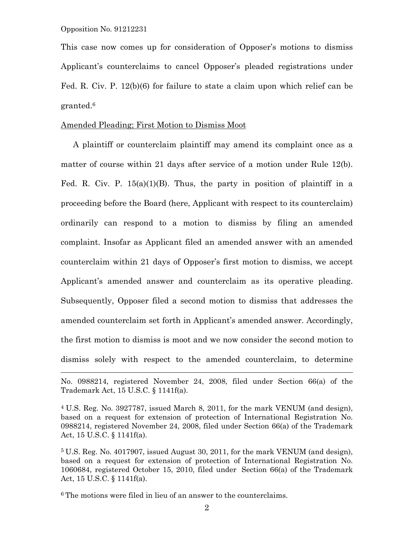÷.

This case now comes up for consideration of Opposer's motions to dismiss Applicant's counterclaims to cancel Opposer's pleaded registrations under Fed. R. Civ. P. 12(b)(6) for failure to state a claim upon which relief can be granted.6

# Amended Pleading; First Motion to Dismiss Moot

 A plaintiff or counterclaim plaintiff may amend its complaint once as a matter of course within 21 days after service of a motion under Rule 12(b). Fed. R. Civ. P. 15(a)(1)(B). Thus, the party in position of plaintiff in a proceeding before the Board (here, Applicant with respect to its counterclaim) ordinarily can respond to a motion to dismiss by filing an amended complaint. Insofar as Applicant filed an amended answer with an amended counterclaim within 21 days of Opposer's first motion to dismiss, we accept Applicant's amended answer and counterclaim as its operative pleading. Subsequently, Opposer filed a second motion to dismiss that addresses the amended counterclaim set forth in Applicant's amended answer. Accordingly, the first motion to dismiss is moot and we now consider the second motion to dismiss solely with respect to the amended counterclaim, to determine

<sup>6</sup> The motions were filed in lieu of an answer to the counterclaims.

No. 0988214, registered November 24, 2008, filed under Section 66(a) of the Trademark Act, 15 U.S.C. § 1141f(a).

<sup>4</sup> U.S. Reg. No. 3927787, issued March 8, 2011, for the mark VENUM (and design), based on a request for extension of protection of International Registration No. 0988214, registered November 24, 2008, filed under Section 66(a) of the Trademark Act, 15 U.S.C. § 1141f(a).

<sup>5</sup> U.S. Reg. No. 4017907, issued August 30, 2011, for the mark VENUM (and design), based on a request for extension of protection of International Registration No. 1060684, registered October 15, 2010, filed under Section 66(a) of the Trademark Act, 15 U.S.C. § 1141f(a).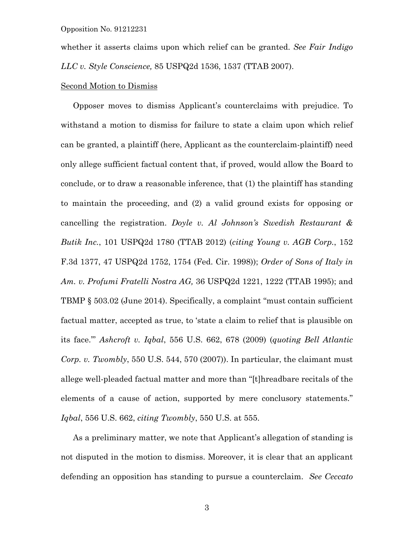whether it asserts claims upon which relief can be granted. *See Fair Indigo LLC v. Style Conscience,* 85 USPQ2d 1536, 1537 (TTAB 2007).

# Second Motion to Dismiss

 Opposer moves to dismiss Applicant's counterclaims with prejudice. To withstand a motion to dismiss for failure to state a claim upon which relief can be granted, a plaintiff (here, Applicant as the counterclaim-plaintiff) need only allege sufficient factual content that, if proved, would allow the Board to conclude, or to draw a reasonable inference, that (1) the plaintiff has standing to maintain the proceeding, and (2) a valid ground exists for opposing or cancelling the registration. *Doyle v. Al Johnson's Swedish Restaurant & Butik Inc.*, 101 USPQ2d 1780 (TTAB 2012) (*citing Young v. AGB Corp.*, 152 F.3d 1377, 47 USPQ2d 1752, 1754 (Fed. Cir. 1998)); *Order of Sons of Italy in Am. v. Profumi Fratelli Nostra AG,* 36 USPQ2d 1221, 1222 (TTAB 1995); and TBMP § 503.02 (June 2014). Specifically, a complaint "must contain sufficient factual matter, accepted as true, to 'state a claim to relief that is plausible on its face.'" *Ashcroft v. Iqbal*, 556 U.S. 662, 678 (2009) (*quoting Bell Atlantic Corp. v. Twombly*, 550 U.S. 544, 570 (2007)). In particular, the claimant must allege well-pleaded factual matter and more than "[t]hreadbare recitals of the elements of a cause of action, supported by mere conclusory statements." *Iqbal*, 556 U.S. 662, *citing Twombly*, 550 U.S. at 555.

 As a preliminary matter, we note that Applicant's allegation of standing is not disputed in the motion to dismiss. Moreover, it is clear that an applicant defending an opposition has standing to pursue a counterclaim. *See Ceccato*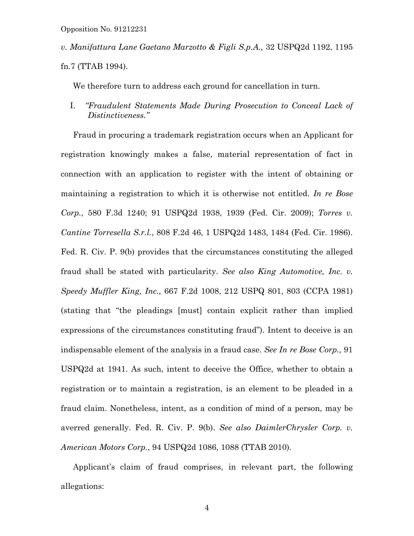*v. Manifattura Lane Gaetano Marzotto & Figli S.p.A.,* 32 USPQ2d 1192, 1195 fn.7 (TTAB 1994).

We therefore turn to address each ground for cancellation in turn.

I. *"Fraudulent Statements Made During Prosecution to Conceal Lack of Distinctiveness."*

 Fraud in procuring a trademark registration occurs when an Applicant for registration knowingly makes a false, material representation of fact in connection with an application to register with the intent of obtaining or maintaining a registration to which it is otherwise not entitled. *In re Bose Corp.*, 580 F.3d 1240; 91 USPQ2d 1938, 1939 (Fed. Cir. 2009); *Torres v. Cantine Torresella S.r.l.*, 808 F.2d 46, 1 USPQ2d 1483, 1484 (Fed. Cir. 1986). Fed. R. Civ. P. 9(b) provides that the circumstances constituting the alleged fraud shall be stated with particularity. *See also King Automotive, Inc. v. Speedy Muffler King, Inc.,* 667 F.2d 1008, 212 USPQ 801, 803 (CCPA 1981) (stating that "the pleadings [must] contain explicit rather than implied expressions of the circumstances constituting fraud"). Intent to deceive is an indispensable element of the analysis in a fraud case. *See In re Bose Corp.,* 91 USPQ2d at 1941. As such, intent to deceive the Office, whether to obtain a registration or to maintain a registration, is an element to be pleaded in a fraud claim. Nonetheless, intent, as a condition of mind of a person, may be averred generally. Fed. R. Civ. P. 9(b). *See also DaimlerChrysler Corp. v. American Motors Corp.*, 94 USPQ2d 1086, 1088 (TTAB 2010).

 Applicant's claim of fraud comprises, in relevant part, the following allegations: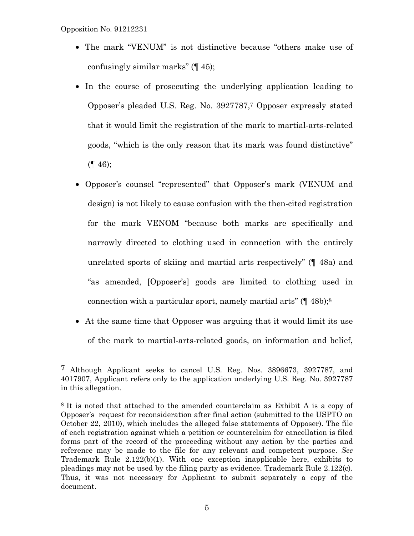÷.

- The mark "VENUM" is not distinctive because "others make use of confusingly similar marks" (¶ 45);
- In the course of prosecuting the underlying application leading to Opposer's pleaded U.S. Reg. No. 3927787,7 Opposer expressly stated that it would limit the registration of the mark to martial-arts-related goods, "which is the only reason that its mark was found distinctive"  $($ [ 46);
- Opposer's counsel "represented" that Opposer's mark (VENUM and design) is not likely to cause confusion with the then-cited registration for the mark VENOM "because both marks are specifically and narrowly directed to clothing used in connection with the entirely unrelated sports of skiing and martial arts respectively" (¶ 48a) and "as amended, [Opposer's] goods are limited to clothing used in connection with a particular sport, namely martial arts" (¶ 48b);8
- At the same time that Opposer was arguing that it would limit its use of the mark to martial-arts-related goods, on information and belief,

<sup>7</sup> Although Applicant seeks to cancel U.S. Reg. Nos. 3896673, 3927787, and 4017907, Applicant refers only to the application underlying U.S. Reg. No. 3927787 in this allegation.

<sup>8</sup> It is noted that attached to the amended counterclaim as Exhibit A is a copy of Opposer's request for reconsideration after final action (submitted to the USPTO on October 22, 2010), which includes the alleged false statements of Opposer). The file of each registration against which a petition or counterclaim for cancellation is filed forms part of the record of the proceeding without any action by the parties and reference may be made to the file for any relevant and competent purpose. *See*  Trademark Rule  $2.122(b)(1)$ . With one exception inapplicable here, exhibits to pleadings may not be used by the filing party as evidence. Trademark Rule 2.122(c). Thus, it was not necessary for Applicant to submit separately a copy of the document.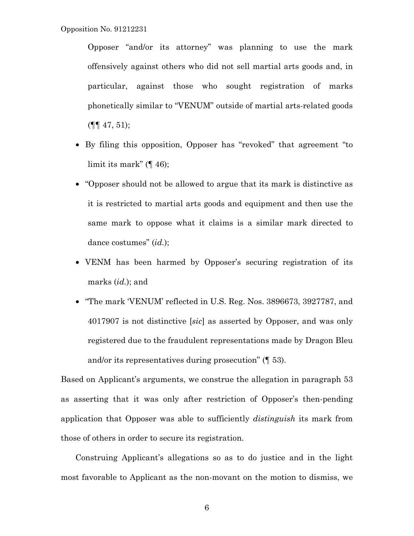Opposer "and/or its attorney" was planning to use the mark offensively against others who did not sell martial arts goods and, in particular, against those who sought registration of marks phonetically similar to "VENUM" outside of martial arts-related goods  $(\P\P \, 47, 51);$ 

- By filing this opposition, Opposer has "revoked" that agreement "to limit its mark" (¶ 46);
- "Opposer should not be allowed to argue that its mark is distinctive as it is restricted to martial arts goods and equipment and then use the same mark to oppose what it claims is a similar mark directed to dance costumes" (*id.*);
- VENM has been harmed by Opposer's securing registration of its marks (*id.*); and
- "The mark 'VENUM' reflected in U.S. Reg. Nos. 3896673, 3927787, and 4017907 is not distinctive [*sic*] as asserted by Opposer, and was only registered due to the fraudulent representations made by Dragon Bleu and/or its representatives during prosecution" (¶ 53).

Based on Applicant's arguments, we construe the allegation in paragraph 53 as asserting that it was only after restriction of Opposer's then-pending application that Opposer was able to sufficiently *distinguish* its mark from those of others in order to secure its registration.

Construing Applicant's allegations so as to do justice and in the light most favorable to Applicant as the non-movant on the motion to dismiss, we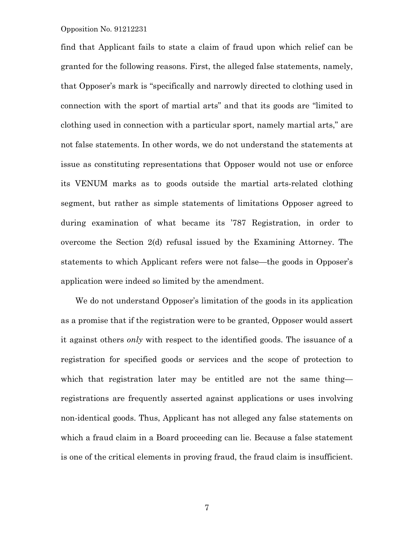find that Applicant fails to state a claim of fraud upon which relief can be granted for the following reasons. First, the alleged false statements, namely, that Opposer's mark is "specifically and narrowly directed to clothing used in connection with the sport of martial arts" and that its goods are "limited to clothing used in connection with a particular sport, namely martial arts," are not false statements. In other words, we do not understand the statements at issue as constituting representations that Opposer would not use or enforce its VENUM marks as to goods outside the martial arts-related clothing segment, but rather as simple statements of limitations Opposer agreed to during examination of what became its '787 Registration, in order to overcome the Section 2(d) refusal issued by the Examining Attorney. The statements to which Applicant refers were not false—the goods in Opposer's application were indeed so limited by the amendment.

We do not understand Opposer's limitation of the goods in its application as a promise that if the registration were to be granted, Opposer would assert it against others *only* with respect to the identified goods. The issuance of a registration for specified goods or services and the scope of protection to which that registration later may be entitled are not the same thing registrations are frequently asserted against applications or uses involving non-identical goods. Thus, Applicant has not alleged any false statements on which a fraud claim in a Board proceeding can lie. Because a false statement is one of the critical elements in proving fraud, the fraud claim is insufficient.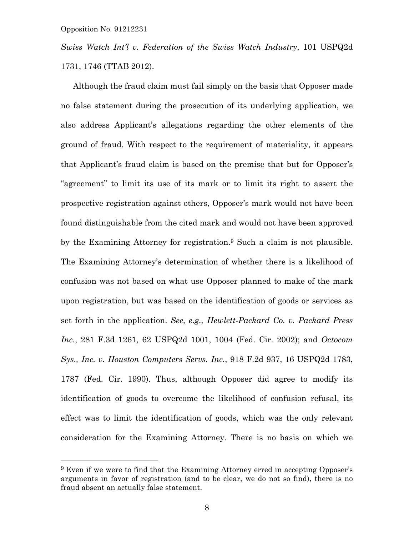—<br>—

*Swiss Watch Int'l v. Federation of the Swiss Watch Industry*, 101 USPQ2d 1731, 1746 (TTAB 2012).

 Although the fraud claim must fail simply on the basis that Opposer made no false statement during the prosecution of its underlying application, we also address Applicant's allegations regarding the other elements of the ground of fraud. With respect to the requirement of materiality, it appears that Applicant's fraud claim is based on the premise that but for Opposer's "agreement" to limit its use of its mark or to limit its right to assert the prospective registration against others, Opposer's mark would not have been found distinguishable from the cited mark and would not have been approved by the Examining Attorney for registration.9 Such a claim is not plausible. The Examining Attorney's determination of whether there is a likelihood of confusion was not based on what use Opposer planned to make of the mark upon registration, but was based on the identification of goods or services as set forth in the application. *See, e.g., Hewlett-Packard Co. v. Packard Press Inc.*, 281 F.3d 1261, 62 USPQ2d 1001, 1004 (Fed. Cir. 2002); and *Octocom Sys., Inc. v. Houston Computers Servs. Inc.*, 918 F.2d 937, 16 USPQ2d 1783, 1787 (Fed. Cir. 1990). Thus, although Opposer did agree to modify its identification of goods to overcome the likelihood of confusion refusal, its effect was to limit the identification of goods, which was the only relevant consideration for the Examining Attorney. There is no basis on which we

<sup>9</sup> Even if we were to find that the Examining Attorney erred in accepting Opposer's arguments in favor of registration (and to be clear, we do not so find), there is no fraud absent an actually false statement.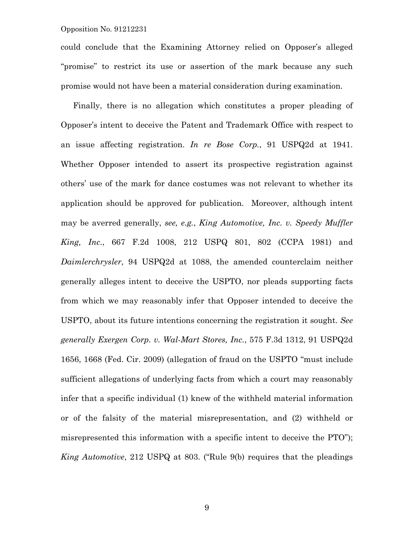could conclude that the Examining Attorney relied on Opposer's alleged "promise" to restrict its use or assertion of the mark because any such promise would not have been a material consideration during examination.

 Finally, there is no allegation which constitutes a proper pleading of Opposer's intent to deceive the Patent and Trademark Office with respect to an issue affecting registration. *In re Bose Corp.*, 91 USPQ2d at 1941. Whether Opposer intended to assert its prospective registration against others' use of the mark for dance costumes was not relevant to whether its application should be approved for publication. Moreover, although intent may be averred generally, *see, e.g.*, *King Automotive, Inc. v. Speedy Muffler King, Inc*., 667 F.2d 1008, 212 USPQ 801, 802 (CCPA 1981) and *Daimlerchrysler*, 94 USPQ2d at 1088, the amended counterclaim neither generally alleges intent to deceive the USPTO, nor pleads supporting facts from which we may reasonably infer that Opposer intended to deceive the USPTO, about its future intentions concerning the registration it sought. *See generally Exergen Corp. v. Wal-Mart Stores, Inc.*, 575 F.3d 1312, 91 USPQ2d 1656, 1668 (Fed. Cir. 2009) (allegation of fraud on the USPTO "must include sufficient allegations of underlying facts from which a court may reasonably infer that a specific individual (1) knew of the withheld material information or of the falsity of the material misrepresentation, and (2) withheld or misrepresented this information with a specific intent to deceive the PTO"); *King Automotive*, 212 USPQ at 803. ("Rule 9(b) requires that the pleadings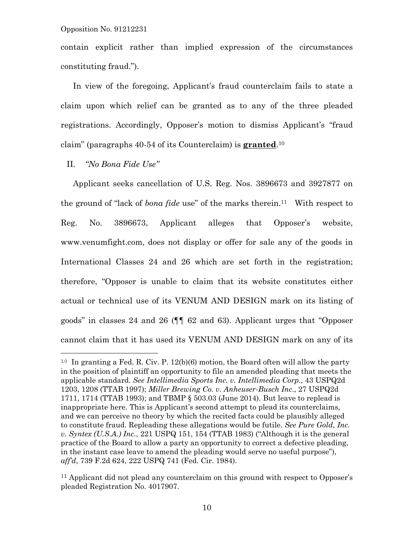contain explicit rather than implied expression of the circumstances constituting fraud.").

 In view of the foregoing, Applicant's fraud counterclaim fails to state a claim upon which relief can be granted as to any of the three pleaded registrations. Accordingly, Opposer's motion to dismiss Applicant's "fraud claim" (paragraphs 40-54 of its Counterclaim) is **granted**.10

# II. *"No Bona Fide Use"*

 Applicant seeks cancellation of U.S. Reg. Nos. 3896673 and 3927877 on the ground of "lack of *bona fide* use" of the marks therein.11 With respect to Reg. No. 3896673, Applicant alleges that Opposer's website, www.venumfight.com, does not display or offer for sale any of the goods in International Classes 24 and 26 which are set forth in the registration; therefore, "Opposer is unable to claim that its website constitutes either actual or technical use of its VENUM AND DESIGN mark on its listing of goods" in classes 24 and 26 (¶¶ 62 and 63). Applicant urges that "Opposer cannot claim that it has used its VENUM AND DESIGN mark on any of its

<sup>&</sup>lt;sup>10</sup> In granting a Fed. R. Civ. P.  $12(b)(6)$  motion, the Board often will allow the party in the position of plaintiff an opportunity to file an amended pleading that meets the applicable standard. *See Intellimedia Sports Inc. v. Intellimedia Corp.,* 43 USPQ2d 1203, 1208 (TTAB 1997); *Miller Brewing Co. v. Anheuser-Busch Inc*., 27 USPQ2d 1711, 1714 (TTAB 1993); and TBMP § 503.03 (June 2014). But leave to replead is inappropriate here. This is Applicant's second attempt to plead its counterclaims, and we can perceive no theory by which the recited facts could be plausibly alleged to constitute fraud. Repleading these allegations would be futile. *See Pure Gold, Inc. v. Syntex (U.S.A.) Inc.*, 221 USPQ 151, 154 (TTAB 1983) ("Although it is the general practice of the Board to allow a party an opportunity to correct a defective pleading, in the instant case leave to amend the pleading would serve no useful purpose"), *aff'd*, 739 F.2d 624, 222 USPQ 741 (Fed. Cir. 1984).

<sup>11</sup> Applicant did not plead any counterclaim on this ground with respect to Opposer's pleaded Registration No. 4017907.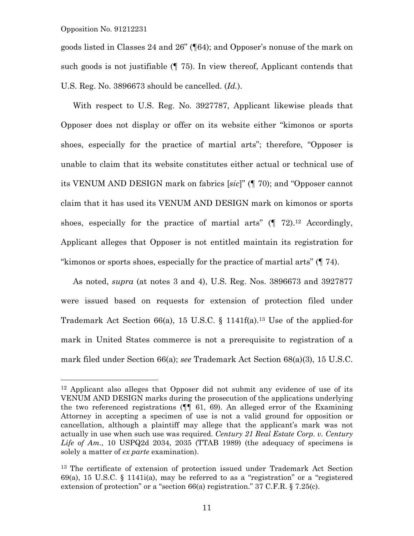—<br>—

goods listed in Classes 24 and 26" (¶64); and Opposer's nonuse of the mark on such goods is not justifiable (¶ 75). In view thereof, Applicant contends that U.S. Reg. No. 3896673 should be cancelled. (*Id.*).

 With respect to U.S. Reg. No. 3927787, Applicant likewise pleads that Opposer does not display or offer on its website either "kimonos or sports shoes, especially for the practice of martial arts"; therefore, "Opposer is unable to claim that its website constitutes either actual or technical use of its VENUM AND DESIGN mark on fabrics [*sic*]" (¶ 70); and "Opposer cannot claim that it has used its VENUM AND DESIGN mark on kimonos or sports shoes, especially for the practice of martial arts"  $($  $\parallel$  72).<sup>12</sup> Accordingly, Applicant alleges that Opposer is not entitled maintain its registration for "kimonos or sports shoes, especially for the practice of martial arts" (¶ 74).

 As noted, *supra* (at notes 3 and 4), U.S. Reg. Nos. 3896673 and 3927877 were issued based on requests for extension of protection filed under Trademark Act Section 66(a), 15 U.S.C.  $\S$  1141f(a).<sup>13</sup> Use of the applied-for mark in United States commerce is not a prerequisite to registration of a mark filed under Section 66(a); *see* Trademark Act Section 68(a)(3), 15 U.S.C.

<sup>12</sup> Applicant also alleges that Opposer did not submit any evidence of use of its VENUM AND DESIGN marks during the prosecution of the applications underlying the two referenced registrations (¶¶ 61, 69). An alleged error of the Examining Attorney in accepting a specimen of use is not a valid ground for opposition or cancellation, although a plaintiff may allege that the applicant's mark was not actually in use when such use was required. *Century 21 Real Estate Corp. v. Century Life of Am*., 10 USPQ2d 2034, 2035 (TTAB 1989) (the adequacy of specimens is solely a matter of *ex parte* examination).

<sup>13</sup> The certificate of extension of protection issued under Trademark Act Section  $69(a)$ , 15 U.S.C. § 1141 $(i)$ , may be referred to as a "registration" or a "registered extension of protection" or a "section  $66(a)$  registration." 37 C.F.R. § 7.25(c).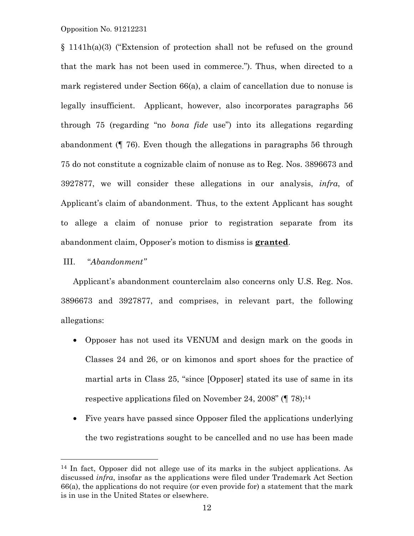§ 1141h(a)(3) ("Extension of protection shall not be refused on the ground that the mark has not been used in commerce."). Thus, when directed to a mark registered under Section 66(a), a claim of cancellation due to nonuse is legally insufficient. Applicant, however, also incorporates paragraphs 56 through 75 (regarding "no *bona fide* use") into its allegations regarding abandonment (¶ 76). Even though the allegations in paragraphs 56 through 75 do not constitute a cognizable claim of nonuse as to Reg. Nos. 3896673 and 3927877, we will consider these allegations in our analysis, *infra*, of Applicant's claim of abandonment. Thus, to the extent Applicant has sought to allege a claim of nonuse prior to registration separate from its abandonment claim, Opposer's motion to dismiss is **granted**.

# III. "*Abandonment"*

÷,

 Applicant's abandonment counterclaim also concerns only U.S. Reg. Nos. 3896673 and 3927877, and comprises, in relevant part, the following allegations:

- Opposer has not used its VENUM and design mark on the goods in Classes 24 and 26, or on kimonos and sport shoes for the practice of martial arts in Class 25, "since [Opposer] stated its use of same in its respective applications filed on November 24, 2008" (¶ 78);14
- Five years have passed since Opposer filed the applications underlying the two registrations sought to be cancelled and no use has been made

<sup>14</sup> In fact, Opposer did not allege use of its marks in the subject applications. As discussed *infra*, insofar as the applications were filed under Trademark Act Section 66(a), the applications do not require (or even provide for) a statement that the mark is in use in the United States or elsewhere.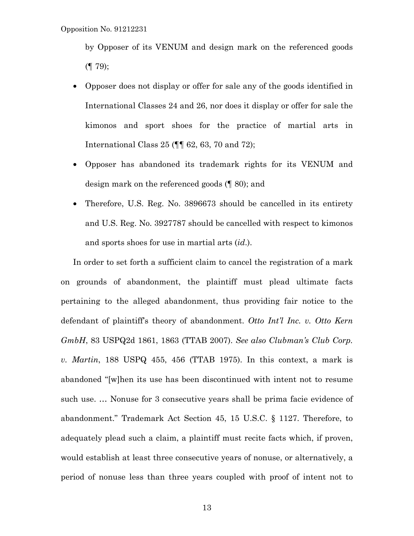by Opposer of its VENUM and design mark on the referenced goods  $($ | 79);

- Opposer does not display or offer for sale any of the goods identified in International Classes 24 and 26, nor does it display or offer for sale the kimonos and sport shoes for the practice of martial arts in International Class 25 (¶¶ 62, 63, 70 and 72);
- Opposer has abandoned its trademark rights for its VENUM and design mark on the referenced goods (¶ 80); and
- Therefore, U.S. Reg. No. 3896673 should be cancelled in its entirety and U.S. Reg. No. 3927787 should be cancelled with respect to kimonos and sports shoes for use in martial arts (*id*.).

 In order to set forth a sufficient claim to cancel the registration of a mark on grounds of abandonment, the plaintiff must plead ultimate facts pertaining to the alleged abandonment, thus providing fair notice to the defendant of plaintiff's theory of abandonment. *Otto Int'l Inc. v. Otto Kern GmbH*, 83 USPQ2d 1861, 1863 (TTAB 2007). *See also Clubman's Club Corp. v. Martin*, 188 USPQ 455, 456 (TTAB 1975). In this context, a mark is abandoned "[w]hen its use has been discontinued with intent not to resume such use. … Nonuse for 3 consecutive years shall be prima facie evidence of abandonment." Trademark Act Section 45, 15 U.S.C. § 1127. Therefore, to adequately plead such a claim, a plaintiff must recite facts which, if proven, would establish at least three consecutive years of nonuse, or alternatively, a period of nonuse less than three years coupled with proof of intent not to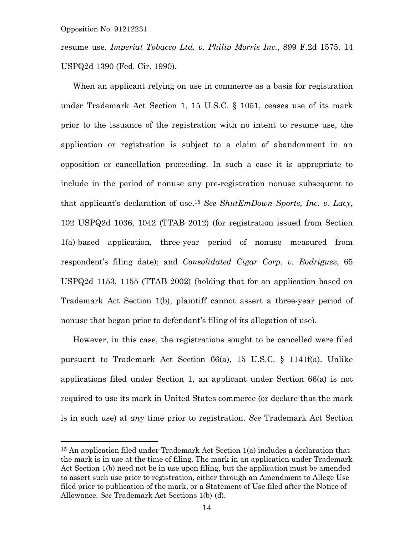—<br>—

resume use. *Imperial Tobacco Ltd. v. Philip Morris Inc.*, 899 F.2d 1575, 14 USPQ2d 1390 (Fed. Cir. 1990).

 When an applicant relying on use in commerce as a basis for registration under Trademark Act Section 1, 15 U.S.C. § 1051, ceases use of its mark prior to the issuance of the registration with no intent to resume use, the application or registration is subject to a claim of abandonment in an opposition or cancellation proceeding. In such a case it is appropriate to include in the period of nonuse any pre-registration nonuse subsequent to that applicant's declaration of use.15 *See ShutEmDown Sports, Inc. v. Lacy*, 102 USPQ2d 1036, 1042 (TTAB 2012) (for registration issued from Section 1(a)-based application, three-year period of nonuse measured from respondent's filing date); and *Consolidated Cigar Corp. v. Rodriguez*, 65 USPQ2d 1153, 1155 (TTAB 2002) (holding that for an application based on Trademark Act Section 1(b), plaintiff cannot assert a three-year period of nonuse that began prior to defendant's filing of its allegation of use).

 However, in this case, the registrations sought to be cancelled were filed pursuant to Trademark Act Section 66(a), 15 U.S.C. § 1141f(a). Unlike applications filed under Section 1, an applicant under Section 66(a) is not required to use its mark in United States commerce (or declare that the mark is in such use) at *any* time prior to registration. *See* Trademark Act Section

<sup>15</sup> An application filed under Trademark Act Section 1(a) includes a declaration that the mark is in use at the time of filing. The mark in an application under Trademark Act Section 1(b) need not be in use upon filing, but the application must be amended to assert such use prior to registration, either through an Amendment to Allege Use filed prior to publication of the mark, or a Statement of Use filed after the Notice of Allowance. *See* Trademark Act Sections 1(b)-(d).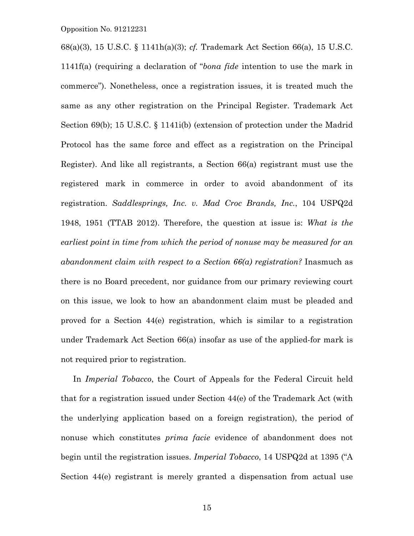68(a)(3), 15 U.S.C. § 1141h(a)(3); *cf.* Trademark Act Section 66(a), 15 U.S.C. 1141f(a) (requiring a declaration of "*bona fide* intention to use the mark in commerce"). Nonetheless, once a registration issues, it is treated much the same as any other registration on the Principal Register. Trademark Act Section 69(b); 15 U.S.C. § 1141i(b) (extension of protection under the Madrid Protocol has the same force and effect as a registration on the Principal Register). And like all registrants, a Section 66(a) registrant must use the registered mark in commerce in order to avoid abandonment of its registration. *Saddlesprings, Inc. v. Mad Croc Brands, Inc.*, 104 USPQ2d 1948, 1951 (TTAB 2012). Therefore, the question at issue is: *What is the earliest point in time from which the period of nonuse may be measured for an abandonment claim with respect to a Section 66(a) registration?* Inasmuch as there is no Board precedent, nor guidance from our primary reviewing court on this issue, we look to how an abandonment claim must be pleaded and proved for a Section 44(e) registration, which is similar to a registration under Trademark Act Section 66(a) insofar as use of the applied-for mark is not required prior to registration.

 In *Imperial Tobacco*, the Court of Appeals for the Federal Circuit held that for a registration issued under Section 44(e) of the Trademark Act (with the underlying application based on a foreign registration), the period of nonuse which constitutes *prima facie* evidence of abandonment does not begin until the registration issues. *Imperial Tobacco*, 14 USPQ2d at 1395 ("A Section 44(e) registrant is merely granted a dispensation from actual use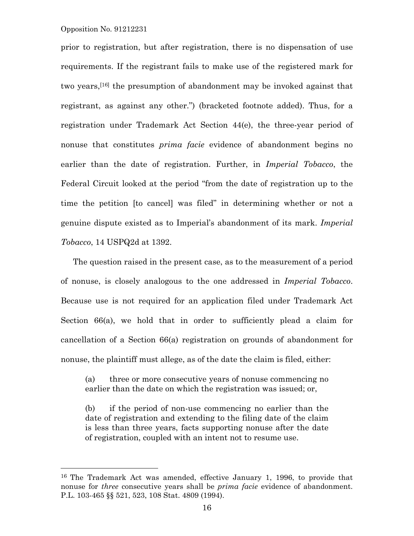—<br>—

prior to registration, but after registration, there is no dispensation of use requirements. If the registrant fails to make use of the registered mark for two years,[16] the presumption of abandonment may be invoked against that registrant, as against any other.") (bracketed footnote added). Thus, for a registration under Trademark Act Section 44(e), the three-year period of nonuse that constitutes *prima facie* evidence of abandonment begins no earlier than the date of registration. Further, in *Imperial Tobacco*, the Federal Circuit looked at the period "from the date of registration up to the time the petition [to cancel] was filed" in determining whether or not a genuine dispute existed as to Imperial's abandonment of its mark. *Imperial Tobacco*, 14 USPQ2d at 1392.

 The question raised in the present case, as to the measurement of a period of nonuse, is closely analogous to the one addressed in *Imperial Tobacco*. Because use is not required for an application filed under Trademark Act Section 66(a), we hold that in order to sufficiently plead a claim for cancellation of a Section 66(a) registration on grounds of abandonment for nonuse, the plaintiff must allege, as of the date the claim is filed, either:

(a) three or more consecutive years of nonuse commencing no earlier than the date on which the registration was issued; or,

(b) if the period of non-use commencing no earlier than the date of registration and extending to the filing date of the claim is less than three years, facts supporting nonuse after the date of registration, coupled with an intent not to resume use.

<sup>16</sup> The Trademark Act was amended, effective January 1, 1996, to provide that nonuse for *three* consecutive years shall be *prima facie* evidence of abandonment. P.L. 103-465 §§ 521, 523, 108 Stat. 4809 (1994).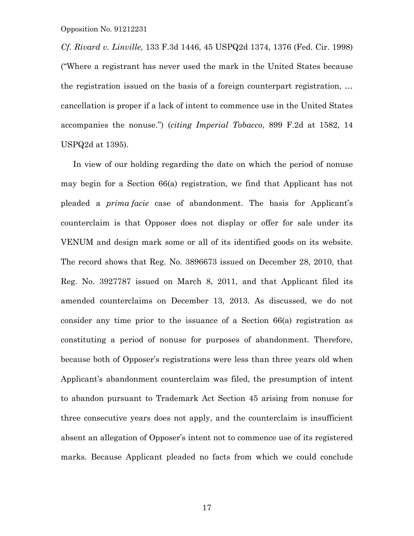*Cf. Rivard v. Linville*, 133 F.3d 1446, 45 USPQ2d 1374, 1376 (Fed. Cir. 1998) ("Where a registrant has never used the mark in the United States because the registration issued on the basis of a foreign counterpart registration, *…* cancellation is proper if a lack of intent to commence use in the United States accompanies the nonuse.") (*citing Imperial Tobacco*, 899 F.2d at 1582, 14 USPQ2d at 1395).

 In view of our holding regarding the date on which the period of nonuse may begin for a Section 66(a) registration, we find that Applicant has not pleaded a *prima facie* case of abandonment. The basis for Applicant's counterclaim is that Opposer does not display or offer for sale under its VENUM and design mark some or all of its identified goods on its website. The record shows that Reg. No. 3896673 issued on December 28, 2010, that Reg. No. 3927787 issued on March 8, 2011, and that Applicant filed its amended counterclaims on December 13, 2013. As discussed, we do not consider any time prior to the issuance of a Section 66(a) registration as constituting a period of nonuse for purposes of abandonment. Therefore, because both of Opposer's registrations were less than three years old when Applicant's abandonment counterclaim was filed, the presumption of intent to abandon pursuant to Trademark Act Section 45 arising from nonuse for three consecutive years does not apply, and the counterclaim is insufficient absent an allegation of Opposer's intent not to commence use of its registered marks. Because Applicant pleaded no facts from which we could conclude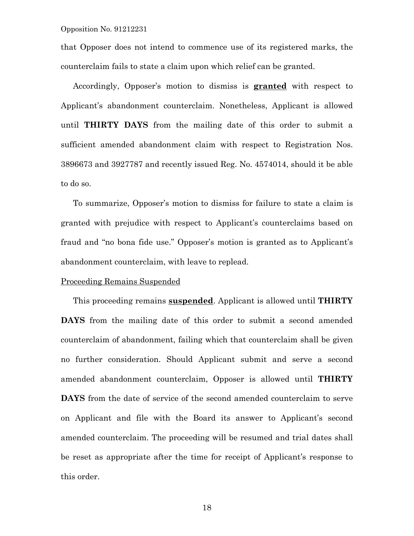that Opposer does not intend to commence use of its registered marks, the counterclaim fails to state a claim upon which relief can be granted.

 Accordingly, Opposer's motion to dismiss is **granted** with respect to Applicant's abandonment counterclaim. Nonetheless, Applicant is allowed until **THIRTY DAYS** from the mailing date of this order to submit a sufficient amended abandonment claim with respect to Registration Nos. 3896673 and 3927787 and recently issued Reg. No. 4574014, should it be able to do so.

 To summarize, Opposer's motion to dismiss for failure to state a claim is granted with prejudice with respect to Applicant's counterclaims based on fraud and "no bona fide use." Opposer's motion is granted as to Applicant's abandonment counterclaim, with leave to replead.

## Proceeding Remains Suspended

 This proceeding remains **suspended**. Applicant is allowed until **THIRTY DAYS** from the mailing date of this order to submit a second amended counterclaim of abandonment, failing which that counterclaim shall be given no further consideration. Should Applicant submit and serve a second amended abandonment counterclaim, Opposer is allowed until **THIRTY DAYS** from the date of service of the second amended counterclaim to serve on Applicant and file with the Board its answer to Applicant's second amended counterclaim. The proceeding will be resumed and trial dates shall be reset as appropriate after the time for receipt of Applicant's response to this order.